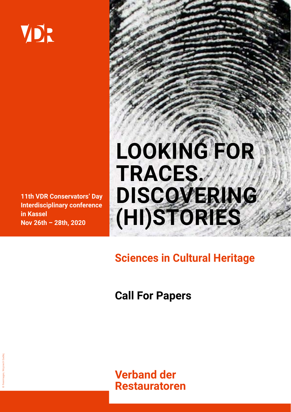# VDR

**11th VDR Conservators' Day Interdisciplinary conference in Kassel Nov 26th – 28th, 2020**

## **LOOKING FOR TRACES. DISCOVERING (HI)STORIES**

**Sciences in Cultural Heritage** 

**Call For Papers**

**Verband der Restauratoren**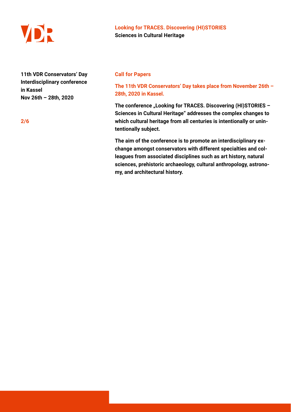

**11th VDR Conservators' Day Interdisciplinary conference in Kassel Nov 26th – 28th, 2020**

#### **Call for Papers**

## **The 11th VDR Conservators' Day takes place from November 26th – 28th, 2020 in Kassel.**

The conference "Looking for TRACES. Discovering (HI)STORIES -**Sciences in Cultural Heritage" addresses the complex changes to which cultural heritage from all centuries is intentionally or unintentionally subject.** 

**The aim of the conference is to promote an interdisciplinary exchange amongst conservators with different specialties and colleagues from associated disciplines such as art history, natural sciences, prehistoric archaeology, cultural anthropology, astronomy, and architectural history.**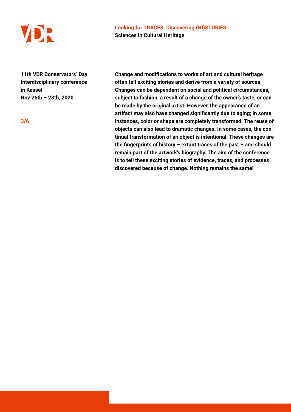

**11th VDR Conservators' Day Interdisciplinary conference in Kassel Nov 26th – 28th, 2020**

**Change and modifications to works of art and cultural heritage often tell exciting stories and derive from a variety of sources. Changes can be dependent on social and political circumstances, subject to fashion, a result of a change of the owner's taste, or can be made by the original artist. However, the appearance of an artifact may also have changed significantly due to aging; in some instances, color or shape are completely transformed. The reuse of objects can also lead to dramatic changes. In some cases, the continual transformation of an object is intentional. These changes are the fingerprints of history – extant traces of the past – and should remain part of the artwork's biography. The aim of the conference is to tell these exciting stories of evidence, traces, and processes discovered because of change. Nothing remains the same!**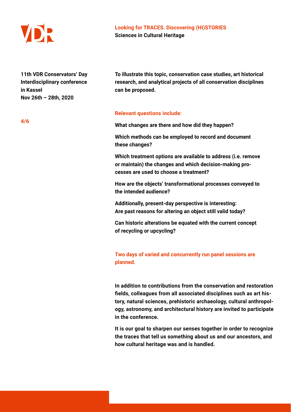

**11th VDR Conservators' Day Interdisciplinary conference in Kassel Nov 26th – 28th, 2020**

**To illustrate this topic, conservation case studies, art historical research, and analytical projects of all conservation disciplines can be proposed.** 

#### **Relevant questions include:**

**What changes are there and how did they happen?** 

**Which methods can be employed to record and document these changes?** 

**Which treatment options are available to address (i.e. remove or maintain) the changes and which decision-making processes are used to choose a treatment?** 

**How are the objects' transformational processes conveyed to the intended audience?** 

**Additionally, present-day perspective is interesting: Are past reasons for altering an object still valid today?** 

**Can historic alterations be equated with the current concept of recycling or upcycling?**

**Two days of varied and concurrently run panel sessions are planned.**

**In addition to contributions from the conservation and restoration fields, colleagues from all associated disciplines such as art history, natural sciences, prehistoric archaeology, cultural anthropology, astronomy, and architectural history are invited to participate in the conference.** 

**It is our goal to sharpen our senses together in order to recognize the traces that tell us something about us and our ancestors, and how cultural heritage was and is handled.** 

**4/6**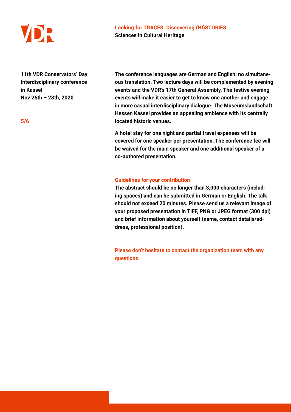

**11th VDR Conservators' Day Interdisciplinary conference in Kassel Nov 26th – 28th, 2020**

**The conference languages are German and English; no simultaneous translation. Two lecture days will be complemented by evening events and the VDR's 17th General Assembly. The festive evening events will make it easier to get to know one another and engage in more casual interdisciplinary dialogue. The Museumslandschaft Hessen Kassel provides an appealing ambience with its centrally located historic venues.** 

**A hotel stay for one night and partial travel expenses will be covered for one speaker per presentation. The conference fee will be waived for the main speaker and one additional speaker of a co-authored presentation.** 

#### **Guidelines for your contribution**

**The abstract should be no longer than 3,000 characters (including spaces) and can be submitted in German or English. The talk should not exceed 20 minutes. Please send us a relevant image of your proposed presentation in TIFF, PNG or JPEG format (300 dpi) and brief information about yourself (name, contact details/address, professional position).** 

**Please don't hesitate to contact the organization team with any questions.**